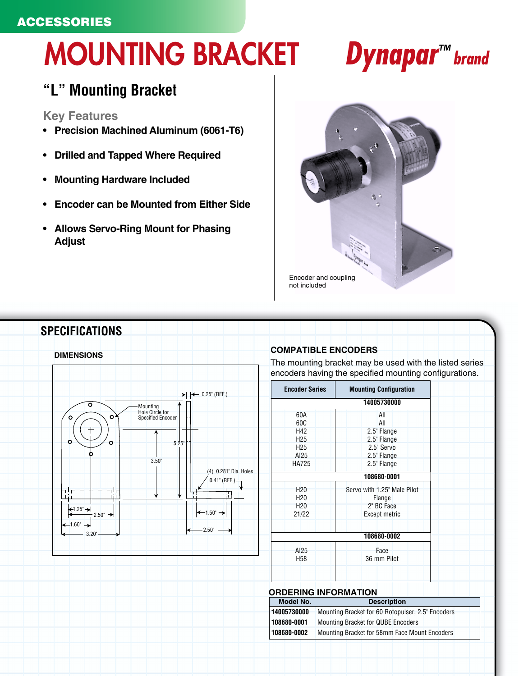# **ACCESSORIES**

# **MOUNTING BRACKET Dynapar™ brand**

# **"L" Mounting Bracket**

## **Key Features**

- **Precision Machined Aluminum (6061-T6)**
- **Drilled and Tapped Where Required**
- **Mounting Hardware Included**
- **Encoder can be Mounted from Either Side**
- **Allows Servo-Ring Mount for Phasing Adjust**





The mounting bracket may be used with the listed series encoders having the specified mounting configurations.

| <b>Encoder Series</b>              | <b>Mounting Configuration</b>         |  |
|------------------------------------|---------------------------------------|--|
|                                    | 14005730000                           |  |
| 60A<br>60C                         | All<br>All                            |  |
| H <sub>42</sub><br>H <sub>25</sub> | 2.5" Flange<br>2.5" Flange            |  |
| H <sub>25</sub><br>AI25            | 2.5" Servo<br>2.5" Flange             |  |
| <b>HA725</b>                       | 2.5" Flange                           |  |
| 108680-0001                        |                                       |  |
| H <sub>20</sub><br>H <sub>20</sub> | Servo with 1.25" Male Pilot<br>Flange |  |
| H <sub>20</sub><br>21/22           | 2" BC Face<br><b>Except metric</b>    |  |
|                                    | 108680-0002                           |  |
| AI25                               | Face<br>36 mm Pilot                   |  |

| <b>ORDERING INFORMATION</b> |             |                                                   |  |
|-----------------------------|-------------|---------------------------------------------------|--|
|                             | Model No.   | <b>Description</b>                                |  |
|                             | 14005730000 | Mounting Bracket for 60 Rotopulser, 2.5" Encoders |  |
|                             | 108680-0001 | <b>Mounting Bracket for QUBE Encoders</b>         |  |
|                             | 108680-0002 | Mounting Bracket for 58mm Face Mount Encoders     |  |